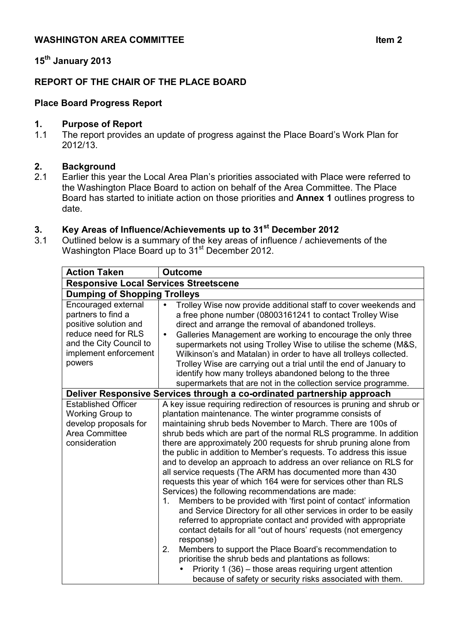# **15th January 2013**

## **REPORT OF THE CHAIR OF THE PLACE BOARD**

### **Place Board Progress Report**

#### **1. Purpose of Report**

1.1 The report provides an update of progress against the Place Board's Work Plan for 2012/13.

### **2. Background**

2.1 Earlier this year the Local Area Plan's priorities associated with Place were referred to the Washington Place Board to action on behalf of the Area Committee. The Place Board has started to initiate action on those priorities and **Annex 1** outlines progress to date.

# **3. Key Areas of Influence/Achievements up to 31st December 2012**

3.1 Outlined below is a summary of the key areas of influence / achievements of the Washington Place Board up to 31<sup>st</sup> December 2012.

| <b>Action Taken</b>                                                                                                                                     | <b>Outcome</b>                                                                                                                                                                                                                                                                                                                                                                                                                                                                                                                                                                                                                                                                                                                                                                                                                                                                                                                                                                                                                                                                                                                                                                                                                   |  |
|---------------------------------------------------------------------------------------------------------------------------------------------------------|----------------------------------------------------------------------------------------------------------------------------------------------------------------------------------------------------------------------------------------------------------------------------------------------------------------------------------------------------------------------------------------------------------------------------------------------------------------------------------------------------------------------------------------------------------------------------------------------------------------------------------------------------------------------------------------------------------------------------------------------------------------------------------------------------------------------------------------------------------------------------------------------------------------------------------------------------------------------------------------------------------------------------------------------------------------------------------------------------------------------------------------------------------------------------------------------------------------------------------|--|
| <b>Responsive Local Services Streetscene</b>                                                                                                            |                                                                                                                                                                                                                                                                                                                                                                                                                                                                                                                                                                                                                                                                                                                                                                                                                                                                                                                                                                                                                                                                                                                                                                                                                                  |  |
| <b>Dumping of Shopping Trolleys</b>                                                                                                                     |                                                                                                                                                                                                                                                                                                                                                                                                                                                                                                                                                                                                                                                                                                                                                                                                                                                                                                                                                                                                                                                                                                                                                                                                                                  |  |
| Encouraged external<br>partners to find a<br>positive solution and<br>reduce need for RLS<br>and the City Council to<br>implement enforcement<br>powers | Trolley Wise now provide additional staff to cover weekends and<br>$\bullet$<br>a free phone number (08003161241 to contact Trolley Wise<br>direct and arrange the removal of abandoned trolleys.<br>Galleries Management are working to encourage the only three<br>$\bullet$<br>supermarkets not using Trolley Wise to utilise the scheme (M&S,<br>Wilkinson's and Matalan) in order to have all trolleys collected.<br>Trolley Wise are carrying out a trial until the end of January to<br>identify how many trolleys abandoned belong to the three<br>supermarkets that are not in the collection service programme.                                                                                                                                                                                                                                                                                                                                                                                                                                                                                                                                                                                                        |  |
| Deliver Responsive Services through a co-ordinated partnership approach                                                                                 |                                                                                                                                                                                                                                                                                                                                                                                                                                                                                                                                                                                                                                                                                                                                                                                                                                                                                                                                                                                                                                                                                                                                                                                                                                  |  |
| <b>Established Officer</b><br>Working Group to<br>develop proposals for<br>Area Committee<br>consideration                                              | A key issue requiring redirection of resources is pruning and shrub or<br>plantation maintenance. The winter programme consists of<br>maintaining shrub beds November to March. There are 100s of<br>shrub beds which are part of the normal RLS programme. In addition<br>there are approximately 200 requests for shrub pruning alone from<br>the public in addition to Member's requests. To address this issue<br>and to develop an approach to address an over reliance on RLS for<br>all service requests (The ARM has documented more than 430<br>requests this year of which 164 were for services other than RLS<br>Services) the following recommendations are made:<br>Members to be provided with 'first point of contact' information<br>1.<br>and Service Directory for all other services in order to be easily<br>referred to appropriate contact and provided with appropriate<br>contact details for all "out of hours' requests (not emergency<br>response)<br>Members to support the Place Board's recommendation to<br>2.<br>prioritise the shrub beds and plantations as follows:<br>Priority 1 (36) – those areas requiring urgent attention<br>because of safety or security risks associated with them. |  |